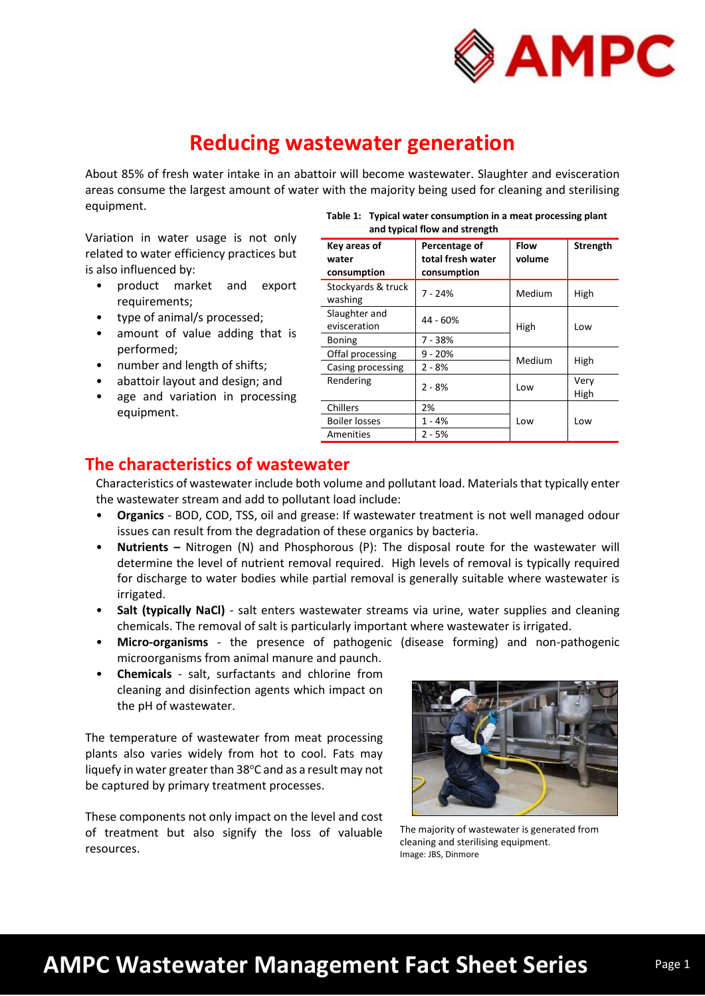

# **Reducing wastewater generation**

About 85% of fresh water intake in an abattoir will become wastewater. Slaughter and evisceration areas consume the largest amount of water with the majority being used for cleaning and sterilising equipment.

Variation in water usage is not only related to water efficiency practices but is also influenced by:

- product market and export requirements;
- type of animal/s processed;
- amount of value adding that is performed;
- number and length of shifts;
- abattoir layout and design; and
- age and variation in processing equipment.

| Table 1: Typical water consumption in a meat processing plant |
|---------------------------------------------------------------|
| and typical flow and strength                                 |

| Key areas of<br>water<br>consumption | Percentage of<br>total fresh water<br>consumption | Flow<br>volume | <b>Strength</b> |
|--------------------------------------|---------------------------------------------------|----------------|-----------------|
| Stockyards & truck<br>washing        | $7 - 24%$                                         | Medium         | High            |
| Slaughter and<br>evisceration        | 44 - 60%                                          | High           | Low             |
| <b>Boning</b>                        | 7 - 38%                                           |                |                 |
| Offal processing                     | $9 - 20%$                                         | Medium         | High            |
| Casing processing                    | $2 - 8%$                                          |                |                 |
| Rendering                            | $2 - 8%$                                          | Low            | Very<br>High    |
| Chillers                             | 2%                                                |                |                 |
| Boiler losses                        | 1 - 4%                                            | Low            | Low             |
| Amenities                            | 2 - 5%                                            |                |                 |

### **The characteristics of wastewater**

Characteristics of wastewater include both volume and pollutant load. Materials that typically enter the wastewater stream and add to pollutant load include:

- **Organics** BOD, COD, TSS, oil and grease: If wastewater treatment is not well managed odour issues can result from the degradation of these organics by bacteria.
- **Nutrients –** Nitrogen (N) and Phosphorous (P): The disposal route for the wastewater will determine the level of nutrient removal required. High levels of removal is typically required for discharge to water bodies while partial removal is generally suitable where wastewater is irrigated.
- **Salt (typically NaCl)** salt enters wastewater streams via urine, water supplies and cleaning chemicals. The removal of salt is particularly important where wastewater is irrigated.
- **Micro-organisms**  the presence of pathogenic (disease forming) and non-pathogenic microorganisms from animal manure and paunch.
- **Chemicals** salt, surfactants and chlorine from cleaning and disinfection agents which impact on the pH of wastewater.

The temperature of wastewater from meat processing plants also varies widely from hot to cool. Fats may liquefy in water greater than 38°C and as a result may not be captured by primary treatment processes.

These components not only impact on the level and cost of treatment but also signify the loss of valuable resources.



The majority of wastewater is generated from cleaning and sterilising equipment. Image: JBS, Dinmore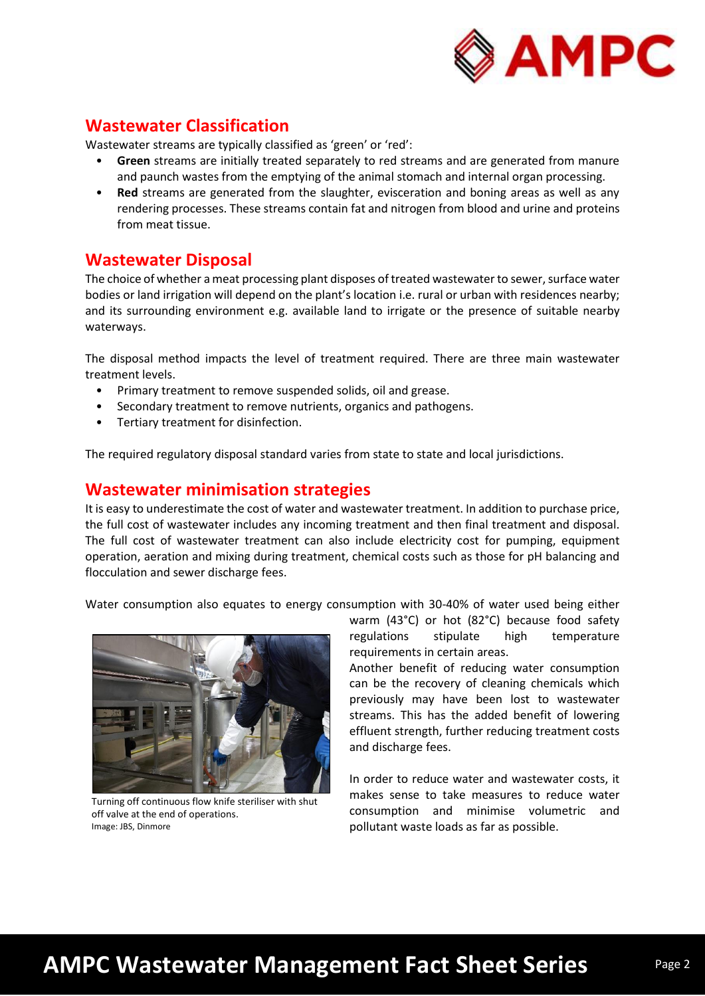

#### **Wastewater Classification**

Wastewater streams are typically classified as 'green' or 'red':

- **Green** streams are initially treated separately to red streams and are generated from manure and paunch wastes from the emptying of the animal stomach and internal organ processing.
- **Red** streams are generated from the slaughter, evisceration and boning areas as well as any rendering processes. These streams contain fat and nitrogen from blood and urine and proteins from meat tissue.

#### **Wastewater Disposal**

The choice of whether a meat processing plant disposes of treated wastewater to sewer, surface water bodies or land irrigation will depend on the plant's location i.e. rural or urban with residences nearby; and its surrounding environment e.g. available land to irrigate or the presence of suitable nearby waterways.

The disposal method impacts the level of treatment required. There are three main wastewater treatment levels.

- Primary treatment to remove suspended solids, oil and grease.
- Secondary treatment to remove nutrients, organics and pathogens.
- Tertiary treatment for disinfection.

The required regulatory disposal standard varies from state to state and local jurisdictions.

#### **Wastewater minimisation strategies**

It is easy to underestimate the cost of water and wastewater treatment. In addition to purchase price, the full cost of wastewater includes any incoming treatment and then final treatment and disposal. The full cost of wastewater treatment can also include electricity cost for pumping, equipment operation, aeration and mixing during treatment, chemical costs such as those for pH balancing and flocculation and sewer discharge fees.

Water consumption also equates to energy consumption with 30-40% of water used being either



Turning off continuous flow knife steriliser with shut off valve at the end of operations. Image: JBS, Dinmore

warm (43°C) or hot (82°C) because food safety regulations stipulate high temperature requirements in certain areas.

Another benefit of reducing water consumption can be the recovery of cleaning chemicals which previously may have been lost to wastewater streams. This has the added benefit of lowering effluent strength, further reducing treatment costs and discharge fees.

In order to reduce water and wastewater costs, it makes sense to take measures to reduce water consumption and minimise volumetric and pollutant waste loads as far as possible.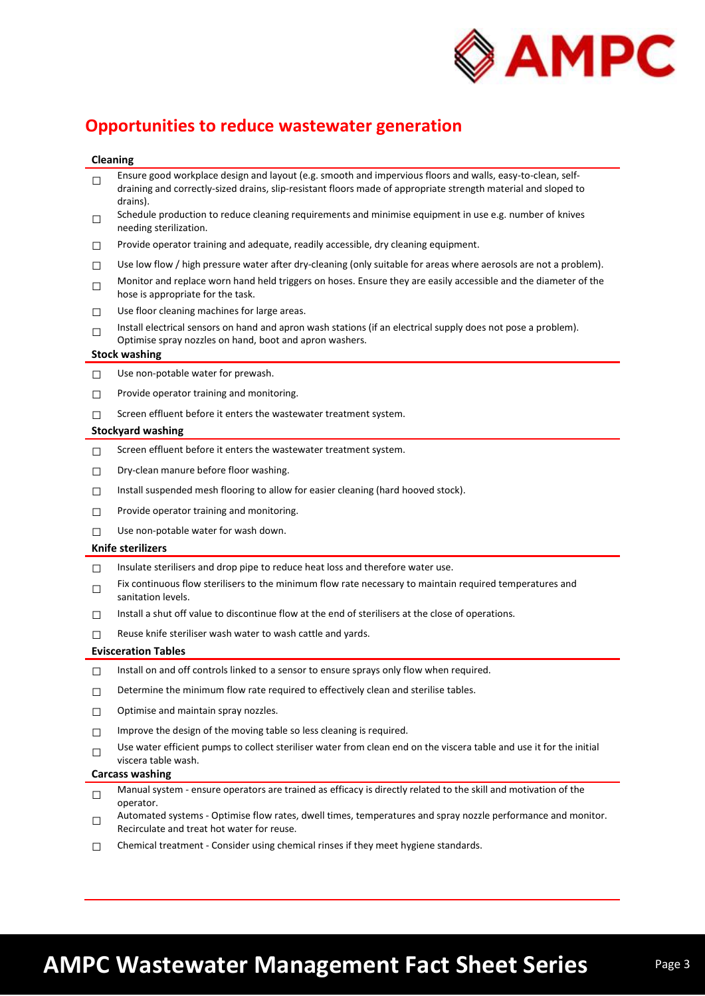

## **Opportunities to reduce wastewater generation**

#### **Cleaning**

| $\Box$ | Ensure good workplace design and layout (e.g. smooth and impervious floors and walls, easy-to-clean, self-<br>draining and correctly-sized drains, slip-resistant floors made of appropriate strength material and sloped to<br>drains). |
|--------|------------------------------------------------------------------------------------------------------------------------------------------------------------------------------------------------------------------------------------------|
| $\Box$ | Schedule production to reduce cleaning requirements and minimise equipment in use e.g. number of knives<br>needing sterilization.                                                                                                        |
| $\Box$ | Provide operator training and adequate, readily accessible, dry cleaning equipment.                                                                                                                                                      |
| $\Box$ | Use low flow / high pressure water after dry-cleaning (only suitable for areas where aerosols are not a problem).                                                                                                                        |
| $\Box$ | Monitor and replace worn hand held triggers on hoses. Ensure they are easily accessible and the diameter of the<br>hose is appropriate for the task.                                                                                     |
| □      | Use floor cleaning machines for large areas.                                                                                                                                                                                             |
| $\Box$ | Install electrical sensors on hand and apron wash stations (if an electrical supply does not pose a problem).<br>Optimise spray nozzles on hand, boot and apron washers.                                                                 |
|        | <b>Stock washing</b>                                                                                                                                                                                                                     |
| $\Box$ | Use non-potable water for prewash.                                                                                                                                                                                                       |
| $\Box$ | Provide operator training and monitoring.                                                                                                                                                                                                |
| П      | Screen effluent before it enters the wastewater treatment system.                                                                                                                                                                        |
|        | <b>Stockyard washing</b>                                                                                                                                                                                                                 |
| $\Box$ | Screen effluent before it enters the wastewater treatment system.                                                                                                                                                                        |
| □      | Dry-clean manure before floor washing.                                                                                                                                                                                                   |
| □      | Install suspended mesh flooring to allow for easier cleaning (hard hooved stock).                                                                                                                                                        |
| □      | Provide operator training and monitoring.                                                                                                                                                                                                |
| П      | Use non-potable water for wash down.                                                                                                                                                                                                     |
|        | <b>Knife sterilizers</b>                                                                                                                                                                                                                 |
| $\Box$ | Insulate sterilisers and drop pipe to reduce heat loss and therefore water use.                                                                                                                                                          |
| □      | Fix continuous flow sterilisers to the minimum flow rate necessary to maintain required temperatures and<br>sanitation levels.                                                                                                           |
| □      | Install a shut off value to discontinue flow at the end of sterilisers at the close of operations.                                                                                                                                       |
| П      | Reuse knife steriliser wash water to wash cattle and yards.                                                                                                                                                                              |
|        |                                                                                                                                                                                                                                          |
|        | <b>Evisceration Tables</b>                                                                                                                                                                                                               |
| □      | Install on and off controls linked to a sensor to ensure sprays only flow when required.                                                                                                                                                 |
| □      | Determine the minimum flow rate required to effectively clean and sterilise tables.                                                                                                                                                      |
| □      | Optimise and maintain spray nozzles.                                                                                                                                                                                                     |
| $\Box$ | Improve the design of the moving table so less cleaning is required.                                                                                                                                                                     |
| $\Box$ | Use water efficient pumps to collect steriliser water from clean end on the viscera table and use it for the initial<br>viscera table wash.                                                                                              |
|        | <b>Carcass washing</b>                                                                                                                                                                                                                   |
| $\Box$ | Manual system - ensure operators are trained as efficacy is directly related to the skill and motivation of the<br>operator.                                                                                                             |
| $\Box$ | Automated systems - Optimise flow rates, dwell times, temperatures and spray nozzle performance and monitor.<br>Recirculate and treat hot water for reuse.                                                                               |